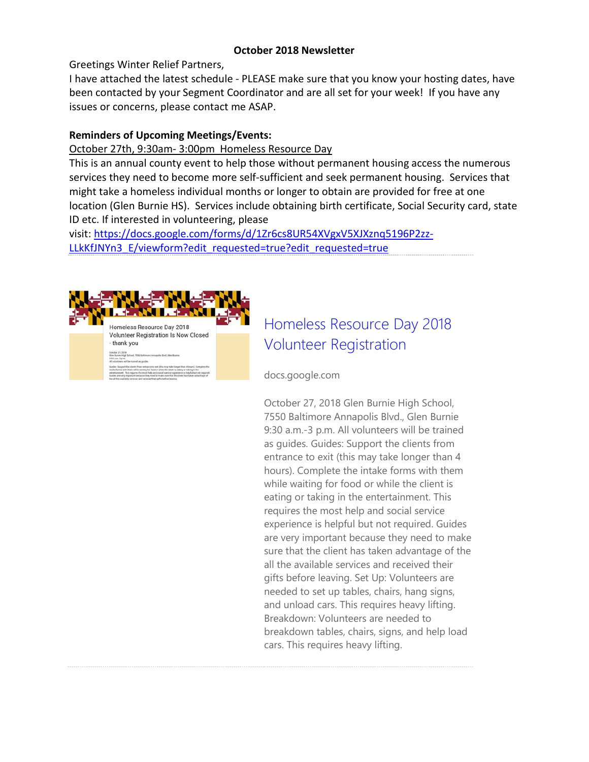#### **October 2018 Newsletter**

Greetings Winter Relief Partners,

I have attached the latest schedule - PLEASE make sure that you know your hosting dates, have been contacted by your Segment Coordinator and are all set for your week! If you have any issues or concerns, please contact me ASAP.

## **Reminders of Upcoming Meetings/Events:**

### October 27th, 9:30am- 3:00pm Homeless Resource Day

This is an annual county event to help those without permanent housing access the numerous services they need to become more self-sufficient and seek permanent housing. Services that might take a homeless individual months or longer to obtain are provided for free at one location (Glen Burnie HS). Services include obtaining birth certificate, Social Security card, state ID etc. If interested in volunteering, please

visit: [https://docs.google.com/forms/d/1Zr6cs8UR54XVgxV5XJXznq5196P2zz-](https://docs.google.com/forms/d/1Zr6cs8UR54XVgxV5XJXznq5196P2zz-LLkKfJNYn3_E/viewform?edit_requested=true?edit_requested=true)LLkKfJNYn3 E/viewform?edit requested=true?edit requested=true



# [Homeless Resource Day 2018](https://docs.google.com/forms/d/1Zr6cs8UR54XVgxV5XJXznq5196P2zz-LLkKfJNYn3_E/viewform?edit_requested=true?edit_requested=true)  [Volunteer Registration](https://docs.google.com/forms/d/1Zr6cs8UR54XVgxV5XJXznq5196P2zz-LLkKfJNYn3_E/viewform?edit_requested=true?edit_requested=true)

docs.google.com

October 27, 2018 Glen Burnie High School, 7550 Baltimore Annapolis Blvd., Glen Burnie 9:30 a.m.-3 p.m. All volunteers will be trained as guides. Guides: Support the clients from entrance to exit (this may take longer than 4 hours). Complete the intake forms with them while waiting for food or while the client is eating or taking in the entertainment. This requires the most help and social service experience is helpful but not required. Guides are very important because they need to make sure that the client has taken advantage of the all the available services and received their gifts before leaving. Set Up: Volunteers are needed to set up tables, chairs, hang signs, and unload cars. This requires heavy lifting. Breakdown: Volunteers are needed to breakdown tables, chairs, signs, and help load cars. This requires heavy lifting.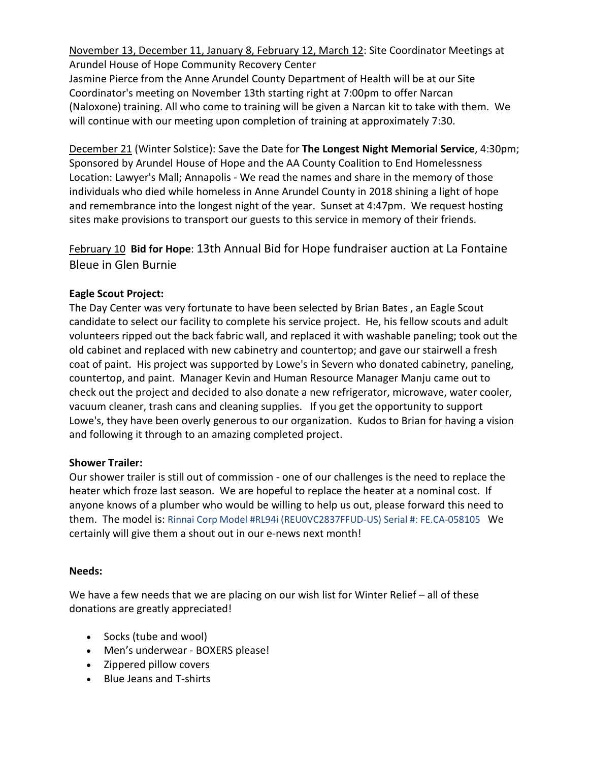November 13, December 11, January 8, February 12, March 12: Site Coordinator Meetings at Arundel House of Hope Community Recovery Center

Jasmine Pierce from the Anne Arundel County Department of Health will be at our Site Coordinator's meeting on November 13th starting right at 7:00pm to offer Narcan (Naloxone) training. All who come to training will be given a Narcan kit to take with them. We will continue with our meeting upon completion of training at approximately 7:30.

December 21 (Winter Solstice): Save the Date for **The Longest Night Memorial Service**, 4:30pm; Sponsored by Arundel House of Hope and the AA County Coalition to End Homelessness Location: Lawyer's Mall; Annapolis - We read the names and share in the memory of those individuals who died while homeless in Anne Arundel County in 2018 shining a light of hope and remembrance into the longest night of the year. Sunset at 4:47pm. We request hosting sites make provisions to transport our guests to this service in memory of their friends.

February 10 **Bid for Hope**: 13th Annual Bid for Hope fundraiser auction at La Fontaine Bleue in Glen Burnie

### **Eagle Scout Project:**

The Day Center was very fortunate to have been selected by Brian Bates , an Eagle Scout candidate to select our facility to complete his service project. He, his fellow scouts and adult volunteers ripped out the back fabric wall, and replaced it with washable paneling; took out the old cabinet and replaced with new cabinetry and countertop; and gave our stairwell a fresh coat of paint. His project was supported by Lowe's in Severn who donated cabinetry, paneling, countertop, and paint. Manager Kevin and Human Resource Manager Manju came out to check out the project and decided to also donate a new refrigerator, microwave, water cooler, vacuum cleaner, trash cans and cleaning supplies. If you get the opportunity to support Lowe's, they have been overly generous to our organization. Kudos to Brian for having a vision and following it through to an amazing completed project.

### **Shower Trailer:**

Our shower trailer is still out of commission - one of our challenges is the need to replace the heater which froze last season. We are hopeful to replace the heater at a nominal cost. If anyone knows of a plumber who would be willing to help us out, please forward this need to them. The model is: Rinnai Corp Model #RL94i (REU0VC2837FFUD-US) Serial #: FE.CA-058105 We certainly will give them a shout out in our e-news next month!

### **Needs:**

We have a few needs that we are placing on our wish list for Winter Relief – all of these donations are greatly appreciated!

- Socks (tube and wool)
- Men's underwear BOXERS please!
- Zippered pillow covers
- Blue Jeans and T-shirts